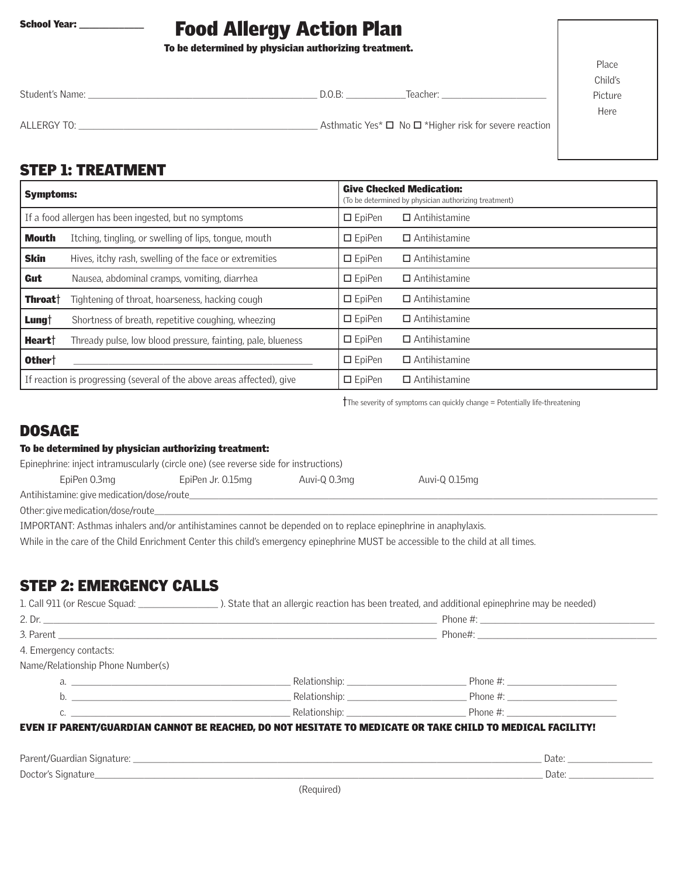# Food Allergy Action Plan

To be determined by physician authorizing treatment.

| Student's Name: | D.O.B: | Teacher:                                                         |
|-----------------|--------|------------------------------------------------------------------|
| ALLERGY TO:     |        | Asthmatic Yes* $\Box$ No $\Box$ *Higher risk for severe reaction |

Place Child's Picture

Here

## STEP 1: TREATMENT

| <b>Symptoms:</b>                                      |                                                                        | <b>Give Checked Medication:</b><br>(To be determined by physician authorizing treatment) |                      |
|-------------------------------------------------------|------------------------------------------------------------------------|------------------------------------------------------------------------------------------|----------------------|
| If a food allergen has been ingested, but no symptoms |                                                                        | $\Box$ EpiPen                                                                            | $\Box$ Antihistamine |
| Mouth                                                 | Itching, tingling, or swelling of lips, tonque, mouth                  | $\Box$ EpiPen                                                                            | $\Box$ Antihistamine |
| <b>Skin</b>                                           | Hives, itchy rash, swelling of the face or extremities                 | $\Box$ EpiPen                                                                            | $\Box$ Antihistamine |
| Gut                                                   | Nausea, abdominal cramps, vomiting, diarrhea                           | $\Box$ EpiPen                                                                            | $\Box$ Antihistamine |
| <b>Throat</b> †                                       | Tightening of throat, hoarseness, hacking cough                        | $\square$ EpiPen                                                                         | $\Box$ Antihistamine |
| Lung†                                                 | Shortness of breath, repetitive coughing, wheezing                     | $\Box$ EpiPen                                                                            | $\Box$ Antihistamine |
| Heart†                                                | Thready pulse, low blood pressure, fainting, pale, blueness            | $\Box$ EpiPen                                                                            | $\Box$ Antihistamine |
| Other <sup>+</sup>                                    |                                                                        | $\Box$ EpiPen                                                                            | $\Box$ Antihistamine |
|                                                       | If reaction is progressing (several of the above areas affected), give | $\Box$ EpiPen                                                                            | $\Box$ Antihistamine |

 $\dagger$ The severity of symptoms can quickly change = Potentially life-threatening

## DOSAGE

#### To be determined by physician authorizing treatment:

Epinephrine: inject intramuscularly (circle one) (see reverse side for instructions)

| EpiPen 0.3mg                               | EpiPen Jr. 0.15mg | Auvi-Q 0.3mg | Auvi-Q 0.15mg |  |  |
|--------------------------------------------|-------------------|--------------|---------------|--|--|
| Antihistamine: give medication/dose/route_ |                   |              |               |  |  |
| Other: give medication/dose/route_         |                   |              |               |  |  |

IMPORTANT: Asthmas inhalers and/or antihistamines cannot be depended on to replace epinephrine in anaphylaxis.

While in the care of the Child Enrichment Center this child's emergency epinephrine MUST be accessible to the child at all times.

## STEP 2: EMERGENCY CALLS

| 4. Emergency contacts:            |  |                                                                                                                |  |
|-----------------------------------|--|----------------------------------------------------------------------------------------------------------------|--|
| Name/Relationship Phone Number(s) |  |                                                                                                                |  |
| a.                                |  | Phone #: Nelationship: Nelationship: Nelationship: Nelationship: Nelationship: Nelationship: Nelationship: Nel |  |
|                                   |  |                                                                                                                |  |
|                                   |  | c. $\qquad \qquad$ Relationship: $\qquad \qquad$ Relationship: $\qquad \qquad$ Phone #:                        |  |

| Paren <sup>+</sup> | -         |
|--------------------|-----------|
| Signature:         | า∽+       |
| nt/Guardian        | Dale.     |
| Doctor's,          | $1 - + 0$ |
| Signature          | Dale.     |